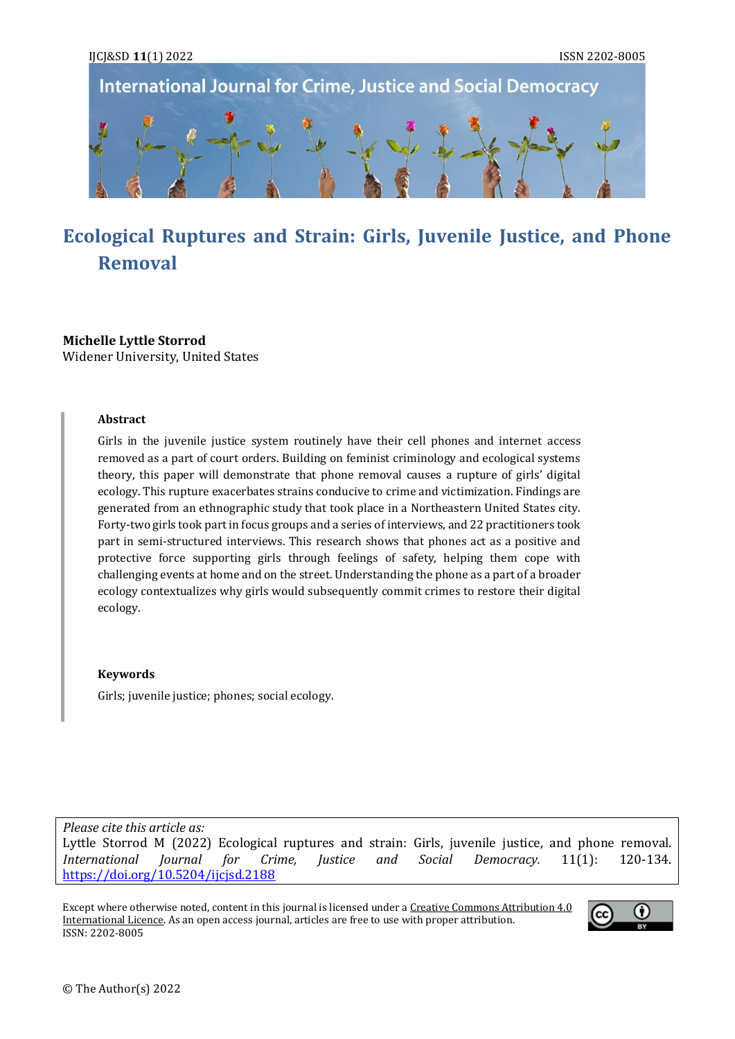

# **Ecological Ruptures and Strain: Girls, Juvenile Justice, and Phone Removal**

#### **Michelle Lyttle Storrod** Widener University, United States

#### **Abstract**

Girls in the juvenile justice system routinely have their cell phones and internet access removed as a part of court orders. Building on feminist criminology and ecological systems theory, this paper will demonstrate that phone removal causes a rupture of girls' digital ecology. This rupture exacerbates strains conducive to crime and victimization. Findings are generated from an ethnographic study that took place in a Northeastern United States city. Forty-two girls took part in focus groups and a series of interviews, and 22 practitioners took part in semi-structured interviews. This research shows that phones act as a positive and protective force supporting girls through feelings of safety, helping them cope with challenging events at home and on the street. Understanding the phone as a part of a broader ecology contextualizes why girls would subsequently commit crimes to restore their digital ecology.

#### **Keywords**

Girls; juvenile justice; phones; social ecology.

*Please cite this article as:* Lyttle Storrod M (2022) Ecological ruptures and strain: Girls, juvenile justice, and phone removal. *International Journal for Crime, Justice and Social Democracy.* 11(1): 120-134. <https://doi.org/10.5204/ijcjsd.2188>

Except where otherwise noted, content in this journal is licensed under [a Creative Commons Attribution 4.0](https://creativecommons.org/licenses/by/4.0/)  [International Licence.](https://creativecommons.org/licenses/by/4.0/) As an open access journal, articles are free to use with proper attribution. ISSN: 2202-8005

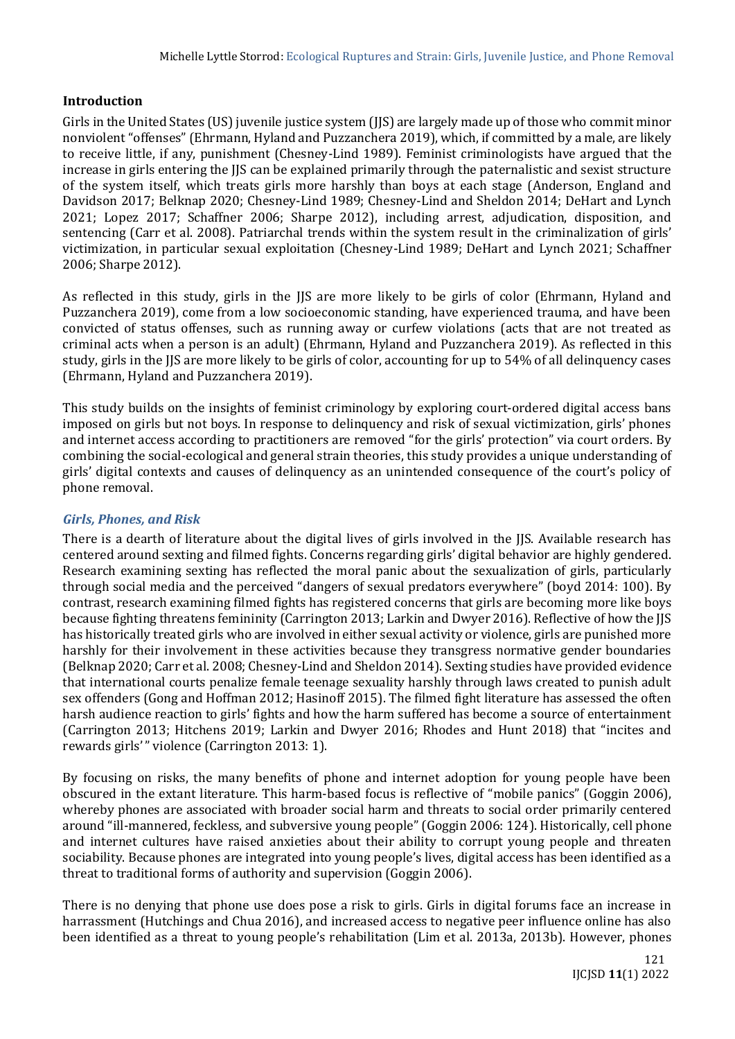## **Introduction**

Girls in the United States (US) juvenile justice system (IJS) are largely made up of those who commit minor nonviolent "offenses" (Ehrmann, Hyland and Puzzanchera 2019), which, if committed by a male, are likely to receive little, if any, punishment (Chesney-Lind 1989). Feminist criminologists have argued that the increase in girls entering the JJS can be explained primarily through the paternalistic and sexist structure of the system itself, which treats girls more harshly than boys at each stage (Anderson, England and Davidson 2017; Belknap 2020; Chesney-Lind 1989; Chesney-Lind and Sheldon 2014; DeHart and Lynch 2021; Lopez 2017; Schaffner 2006; Sharpe 2012), including arrest, adjudication, disposition, and sentencing (Carr et al. 2008). Patriarchal trends within the system result in the criminalization of girls' victimization, in particular sexual exploitation (Chesney-Lind 1989; DeHart and Lynch 2021; Schaffner 2006; Sharpe 2012).

As reflected in this study, girls in the IIS are more likely to be girls of color (Ehrmann, Hyland and Puzzanchera 2019), come from a low socioeconomic standing, have experienced trauma, and have been convicted of status offenses, such as running away or curfew violations (acts that are not treated as criminal acts when a person is an adult) (Ehrmann, Hyland and Puzzanchera 2019). As reflected in this study, girls in the JJS are more likely to be girls of color, accounting for up to 54% of all delinquency cases (Ehrmann, Hyland and Puzzanchera 2019).

This study builds on the insights of feminist criminology by exploring court-ordered digital access bans imposed on girls but not boys. In response to delinquency and risk of sexual victimization, girls' phones and internet access according to practitioners are removed "for the girls' protection" via court orders. By combining the social-ecological and general strain theories, this study provides a unique understanding of girls' digital contexts and causes of delinquency as an unintended consequence of the court's policy of phone removal.

## *Girls, Phones, and Risk*

There is a dearth of literature about the digital lives of girls involved in the JJS. Available research has centered around sexting and filmed fights. Concerns regarding girls' digital behavior are highly gendered. Research examining sexting has reflected the moral panic about the sexualization of girls, particularly through social media and the perceived "dangers of sexual predators everywhere" (boyd 2014: 100). By contrast, research examining filmed fights has registered concerns that girls are becoming more like boys because fighting threatens femininity (Carrington 2013; Larkin and Dwyer 2016). Reflective of how the JJS has historically treated girls who are involved in either sexual activity or violence, girls are punished more harshly for their involvement in these activities because they transgress normative gender boundaries (Belknap 2020; Carr et al. 2008; Chesney-Lind and Sheldon 2014). Sexting studies have provided evidence that international courts penalize female teenage sexuality harshly through laws created to punish adult sex offenders (Gong and Hoffman 2012; Hasinoff 2015). The filmed fight literature has assessed the often harsh audience reaction to girls' fights and how the harm suffered has become a source of entertainment (Carrington 2013; Hitchens 2019; Larkin and Dwyer 2016; Rhodes and Hunt 2018) that "incites and rewards girls'" violence (Carrington 2013: 1).

By focusing on risks, the many benefits of phone and internet adoption for young people have been obscured in the extant literature. This harm-based focus is reflective of "mobile panics" (Goggin 2006), whereby phones are associated with broader social harm and threats to social order primarily centered around "ill-mannered, feckless, and subversive young people" (Goggin 2006: 124). Historically, cell phone and internet cultures have raised anxieties about their ability to corrupt young people and threaten sociability. Because phones are integrated into young people's lives, digital access has been identified as a threat to traditional forms of authority and supervision (Goggin 2006).

There is no denying that phone use does pose a risk to girls. Girls in digital forums face an increase in harrassment (Hutchings and Chua 2016), and increased access to negative peer influence online has also been identified as a threat to young people's rehabilitation (Lim et al. 2013a, 2013b). However, phones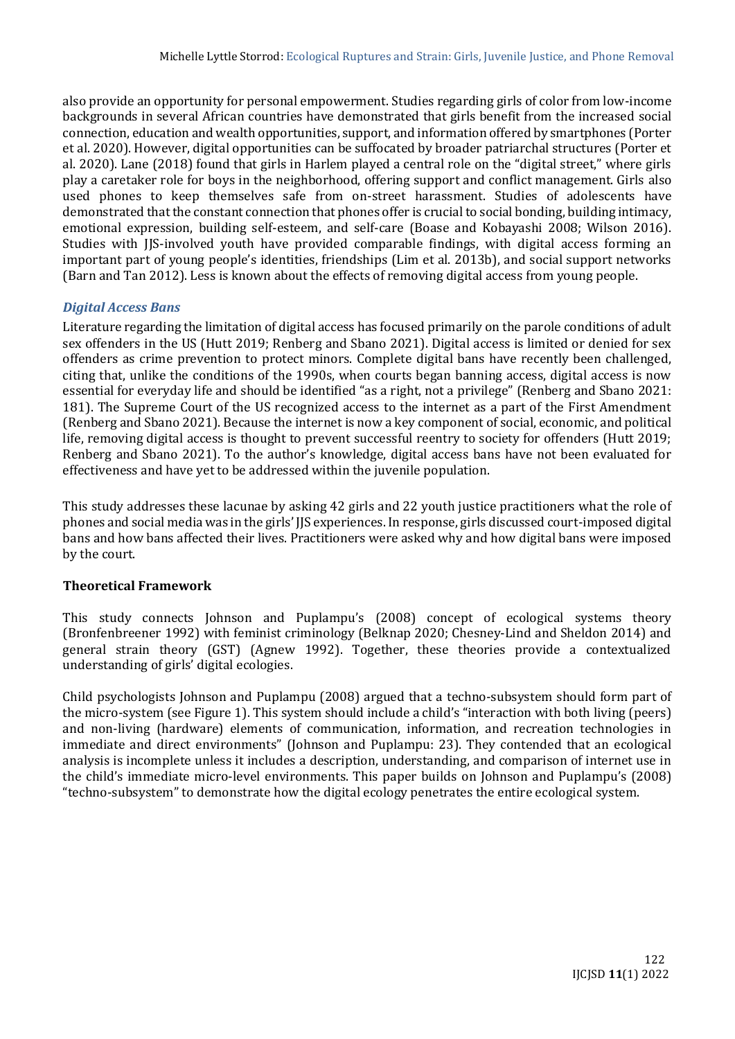also provide an opportunity for personal empowerment. Studies regarding girls of color from low-income backgrounds in several African countries have demonstrated that girls benefit from the increased social connection, education and wealth opportunities, support, and information offered by smartphones (Porter et al. 2020). However, digital opportunities can be suffocated by broader patriarchal structures (Porter et al. 2020). Lane (2018) found that girls in Harlem played a central role on the "digital street," where girls play a caretaker role for boys in the neighborhood, offering support and conflict management. Girls also used phones to keep themselves safe from on-street harassment. Studies of adolescents have demonstrated that the constant connection that phones offer is crucial to social bonding, building intimacy, emotional expression, building self-esteem, and self-care (Boase and Kobayashi 2008; Wilson 2016). Studies with JJS-involved youth have provided comparable findings, with digital access forming an important part of young people's identities, friendships (Lim et al. 2013b), and social support networks (Barn and Tan 2012). Less is known about the effects of removing digital access from young people.

# *Digital Access Bans*

Literature regarding the limitation of digital access has focused primarily on the parole conditions of adult sex offenders in the US (Hutt 2019; Renberg and Sbano 2021). Digital access is limited or denied for sex offenders as crime prevention to protect minors. Complete digital bans have recently been challenged, citing that, unlike the conditions of the 1990s, when courts began banning access, digital access is now essential for everyday life and should be identified "as a right, not a privilege" (Renberg and Sbano 2021: 181). The Supreme Court of the US recognized access to the internet as a part of the First Amendment (Renberg and Sbano 2021). Because the internet is now a key component of social, economic, and political life, removing digital access is thought to prevent successful reentry to society for offenders (Hutt 2019; Renberg and Sbano 2021). To the author's knowledge, digital access bans have not been evaluated for effectiveness and have yet to be addressed within the juvenile population.

This study addresses these lacunae by asking 42 girls and 22 youth justice practitioners what the role of phones and social media was in the girls' JJS experiences. In response, girls discussed court-imposed digital bans and how bans affected their lives. Practitioners were asked why and how digital bans were imposed by the court.

## **Theoretical Framework**

This study connects Johnson and Puplampu's (2008) concept of ecological systems theory (Bronfenbreener 1992) with feminist criminology (Belknap 2020; Chesney-Lind and Sheldon 2014) and general strain theory (GST) (Agnew 1992). Together, these theories provide a contextualized understanding of girls' digital ecologies.

Child psychologists Johnson and Puplampu (2008) argued that a techno-subsystem should form part of the micro-system (see Figure 1). This system should include a child's "interaction with both living (peers) and non-living (hardware) elements of communication, information, and recreation technologies in immediate and direct environments" (Johnson and Puplampu: 23). They contended that an ecological analysis is incomplete unless it includes a description, understanding, and comparison of internet use in the child's immediate micro-level environments. This paper builds on Johnson and Puplampu's (2008) "techno-subsystem" to demonstrate how the digital ecology penetrates the entire ecological system.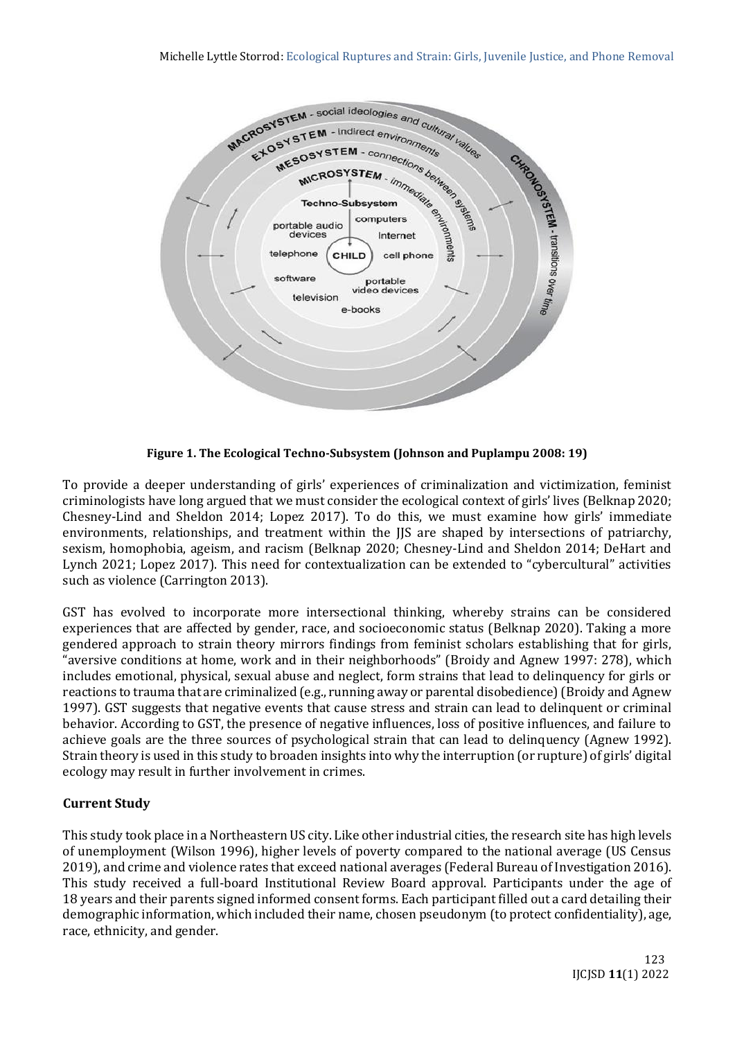

**Figure 1. The Ecological Techno-Subsystem (Johnson and Puplampu 2008: 19)**

To provide a deeper understanding of girls' experiences of criminalization and victimization, feminist criminologists have long argued that we must consider the ecological context of girls' lives (Belknap 2020; Chesney-Lind and Sheldon 2014; Lopez 2017). To do this, we must examine how girls' immediate environments, relationships, and treatment within the JJS are shaped by intersections of patriarchy, sexism, homophobia, ageism, and racism (Belknap 2020; Chesney-Lind and Sheldon 2014; DeHart and Lynch 2021; Lopez 2017). This need for contextualization can be extended to "cybercultural" activities such as violence (Carrington 2013).

GST has evolved to incorporate more intersectional thinking, whereby strains can be considered experiences that are affected by gender, race, and socioeconomic status (Belknap 2020). Taking a more gendered approach to strain theory mirrors findings from feminist scholars establishing that for girls, "aversive conditions at home, work and in their neighborhoods" (Broidy and Agnew 1997: 278), which includes emotional, physical, sexual abuse and neglect, form strains that lead to delinquency for girls or reactions to trauma that are criminalized (e.g., running away or parental disobedience) (Broidy and Agnew 1997). GST suggests that negative events that cause stress and strain can lead to delinquent or criminal behavior. According to GST, the presence of negative influences, loss of positive influences, and failure to achieve goals are the three sources of psychological strain that can lead to delinquency (Agnew 1992). Strain theory is used in this study to broaden insights into why the interruption (or rupture) of girls' digital ecology may result in further involvement in crimes.

# **Current Study**

This study took place in a Northeastern US city. Like other industrial cities, the research site has high levels of unemployment (Wilson 1996), higher levels of poverty compared to the national average (US Census 2019), and crime and violence rates that exceed national averages (Federal Bureau of Investigation 2016). This study received a full-board Institutional Review Board approval. Participants under the age of 18 years and their parents signed informed consent forms. Each participant filled out a card detailing their demographic information, which included their name, chosen pseudonym (to protect confidentiality), age, race, ethnicity, and gender.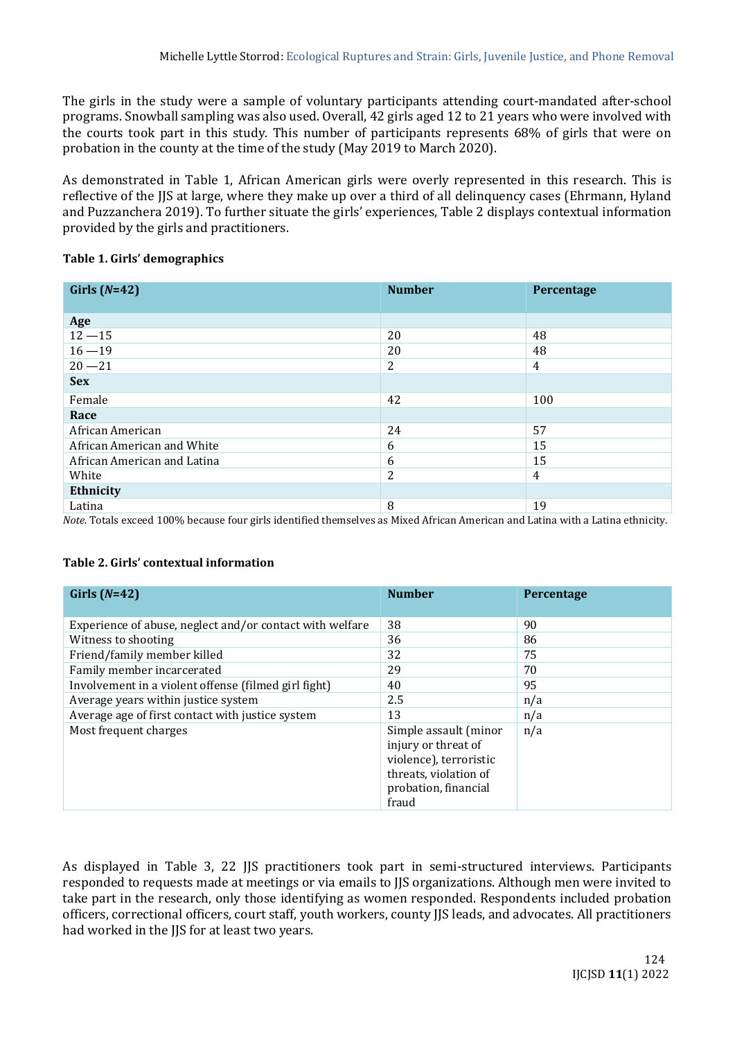The girls in the study were a sample of voluntary participants attending court-mandated after-school programs. Snowball sampling was also used. Overall, 42 girls aged 12 to 21 years who were involved with the courts took part in this study. This number of participants represents 68% of girls that were on probation in the county at the time of the study (May 2019 to March 2020).

As demonstrated in Table 1, African American girls were overly represented in this research. This is reflective of the JJS at large, where they make up over a third of all delinquency cases (Ehrmann, Hyland and Puzzanchera 2019). To further situate the girls' experiences, Table 2 displays contextual information provided by the girls and practitioners.

## **Table 1. Girls' demographics**

| Girls $(N=42)$              | <b>Number</b>  | Percentage     |
|-----------------------------|----------------|----------------|
|                             |                |                |
| Age                         |                |                |
| $12 - 15$                   | 20             | 48             |
| $16 - 19$                   | 20             | 48             |
| $20 - 21$                   | $\overline{2}$ | 4              |
| <b>Sex</b>                  |                |                |
| Female                      | 42             | 100            |
| Race                        |                |                |
| African American            | 24             | 57             |
| African American and White  | 6              | 15             |
| African American and Latina | 6              | 15             |
| White                       | 2              | $\overline{4}$ |
| Ethnicity                   |                |                |
| Latina                      | 8              | 19             |

*Note.* Totals exceed 100% because four girls identified themselves as Mixed African American and Latina with a Latina ethnicity.

### **Table 2. Girls' contextual information**

| Girls $(N=42)$                                           | <b>Number</b>                                                                                                                    | Percentage |
|----------------------------------------------------------|----------------------------------------------------------------------------------------------------------------------------------|------------|
| Experience of abuse, neglect and/or contact with welfare | 38                                                                                                                               | 90         |
| Witness to shooting                                      | 36                                                                                                                               | 86         |
| Friend/family member killed                              | 32                                                                                                                               | 75         |
| Family member incarcerated                               | 29                                                                                                                               | 70         |
| Involvement in a violent offense (filmed girl fight)     | 40                                                                                                                               | 95         |
| Average years within justice system                      | 2.5                                                                                                                              | n/a        |
| Average age of first contact with justice system         | 13                                                                                                                               | n/a        |
| Most frequent charges                                    | Simple assault (minor<br>injury or threat of<br>violence), terroristic<br>threats, violation of<br>probation, financial<br>fraud | n/a        |

As displayed in Table 3, 22 JJS practitioners took part in semi-structured interviews. Participants responded to requests made at meetings or via emails to JJS organizations. Although men were invited to take part in the research, only those identifying as women responded. Respondents included probation officers, correctional officers, court staff, youth workers, county JJS leads, and advocates. All practitioners had worked in the JJS for at least two years.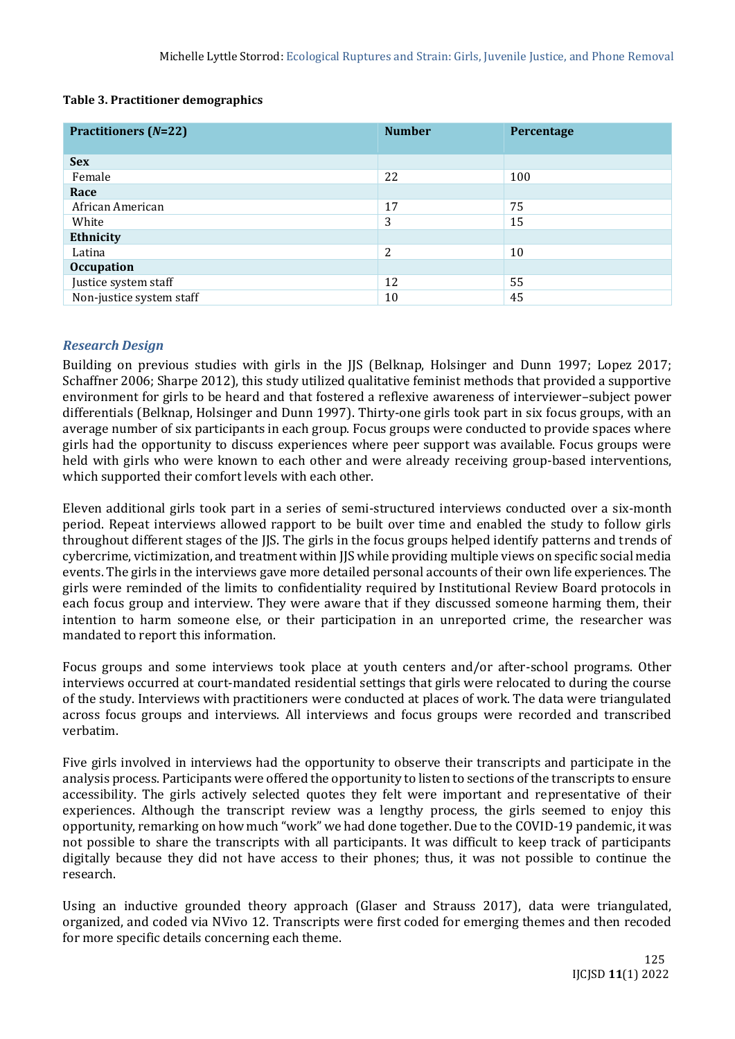### **Table 3. Practitioner demographics**

| <b>Practitioners (N=22)</b> | <b>Number</b> | Percentage |
|-----------------------------|---------------|------------|
|                             |               |            |
| <b>Sex</b>                  |               |            |
| Female                      | 22            | 100        |
| Race                        |               |            |
| African American            | 17            | 75         |
| White                       | 3             | 15         |
| Ethnicity                   |               |            |
| Latina                      | 2             | 10         |
| <b>Occupation</b>           |               |            |
| Justice system staff        | 12            | 55         |
| Non-justice system staff    | 10            | 45         |

## *Research Design*

Building on previous studies with girls in the JJS (Belknap, Holsinger and Dunn 1997; Lopez 2017; Schaffner 2006; Sharpe 2012), this study utilized qualitative feminist methods that provided a supportive environment for girls to be heard and that fostered a reflexive awareness of interviewer–subject power differentials (Belknap, Holsinger and Dunn 1997). Thirty-one girls took part in six focus groups, with an average number of six participants in each group. Focus groups were conducted to provide spaces where girls had the opportunity to discuss experiences where peer support was available. Focus groups were held with girls who were known to each other and were already receiving group-based interventions, which supported their comfort levels with each other.

Eleven additional girls took part in a series of semi-structured interviews conducted over a six-month period. Repeat interviews allowed rapport to be built over time and enabled the study to follow girls throughout different stages of the JJS. The girls in the focus groups helped identify patterns and trends of cybercrime, victimization, and treatment within JJS while providing multiple views on specific social media events. The girls in the interviews gave more detailed personal accounts of their own life experiences. The girls were reminded of the limits to confidentiality required by Institutional Review Board protocols in each focus group and interview. They were aware that if they discussed someone harming them, their intention to harm someone else, or their participation in an unreported crime, the researcher was mandated to report this information.

Focus groups and some interviews took place at youth centers and/or after-school programs. Other interviews occurred at court-mandated residential settings that girls were relocated to during the course of the study. Interviews with practitioners were conducted at places of work. The data were triangulated across focus groups and interviews. All interviews and focus groups were recorded and transcribed verbatim.

Five girls involved in interviews had the opportunity to observe their transcripts and participate in the analysis process. Participants were offered the opportunity to listen to sections of the transcripts to ensure accessibility. The girls actively selected quotes they felt were important and representative of their experiences. Although the transcript review was a lengthy process, the girls seemed to enjoy this opportunity, remarking on how much "work" we had done together. Due to the COVID-19 pandemic, it was not possible to share the transcripts with all participants. It was difficult to keep track of participants digitally because they did not have access to their phones; thus, it was not possible to continue the research.

Using an inductive grounded theory approach (Glaser and Strauss 2017), data were triangulated, organized, and coded via NVivo 12. Transcripts were first coded for emerging themes and then recoded for more specific details concerning each theme.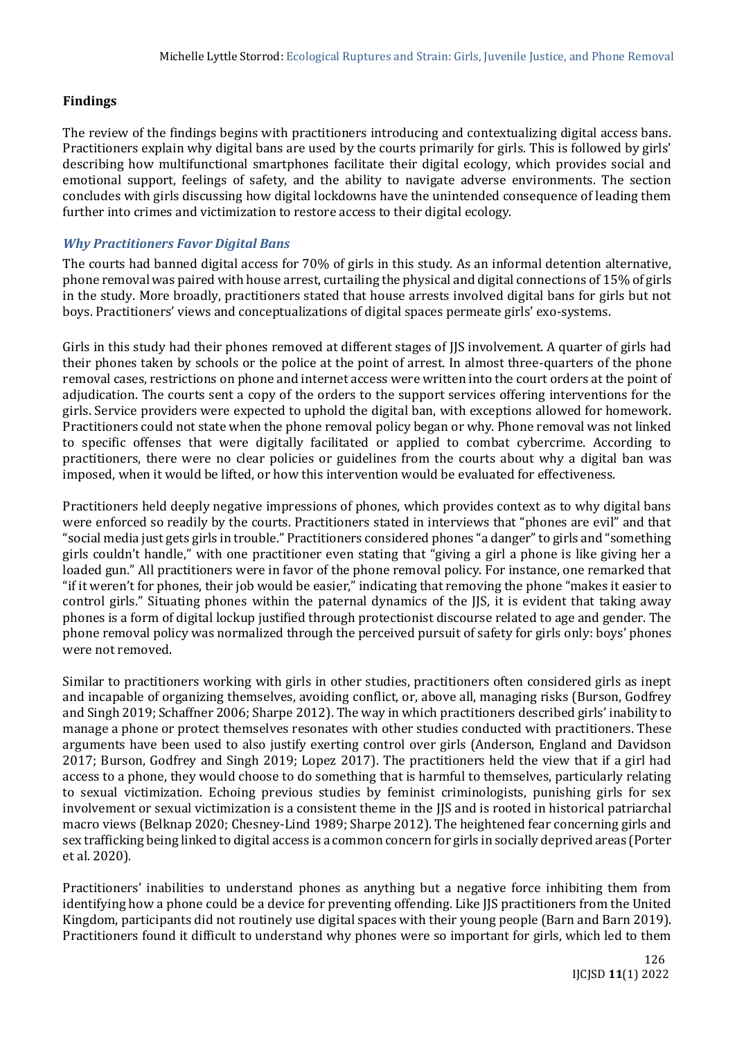# **Findings**

The review of the findings begins with practitioners introducing and contextualizing digital access bans. Practitioners explain why digital bans are used by the courts primarily for girls. This is followed by girls' describing how multifunctional smartphones facilitate their digital ecology, which provides social and emotional support, feelings of safety, and the ability to navigate adverse environments. The section concludes with girls discussing how digital lockdowns have the unintended consequence of leading them further into crimes and victimization to restore access to their digital ecology.

# *Why Practitioners Favor Digital Bans*

The courts had banned digital access for 70% of girls in this study. As an informal detention alternative, phone removal was paired with house arrest, curtailing the physical and digital connections of 15% of girls in the study. More broadly, practitioners stated that house arrests involved digital bans for girls but not boys. Practitioners' views and conceptualizations of digital spaces permeate girls' exo-systems.

Girls in this study had their phones removed at different stages of JJS involvement. A quarter of girls had their phones taken by schools or the police at the point of arrest. In almost three-quarters of the phone removal cases, restrictions on phone and internet access were written into the court orders at the point of adjudication. The courts sent a copy of the orders to the support services offering interventions for the girls. Service providers were expected to uphold the digital ban, with exceptions allowed for homework. Practitioners could not state when the phone removal policy began or why. Phone removal was not linked to specific offenses that were digitally facilitated or applied to combat cybercrime. According to practitioners, there were no clear policies or guidelines from the courts about why a digital ban was imposed, when it would be lifted, or how this intervention would be evaluated for effectiveness.

Practitioners held deeply negative impressions of phones, which provides context as to why digital bans were enforced so readily by the courts. Practitioners stated in interviews that "phones are evil" and that "social media just gets girls in trouble." Practitioners considered phones "a danger" to girls and "something girls couldn't handle," with one practitioner even stating that "giving a girl a phone is like giving her a loaded gun." All practitioners were in favor of the phone removal policy. For instance, one remarked that "if it weren't for phones, their job would be easier," indicating that removing the phone "makes it easier to control girls." Situating phones within the paternal dynamics of the IIS, it is evident that taking away phones is a form of digital lockup justified through protectionist discourse related to age and gender. The phone removal policy was normalized through the perceived pursuit of safety for girls only: boys' phones were not removed.

Similar to practitioners working with girls in other studies, practitioners often considered girls as inept and incapable of organizing themselves, avoiding conflict, or, above all, managing risks (Burson, Godfrey and Singh 2019; Schaffner 2006; Sharpe 2012). The way in which practitioners described girls' inability to manage a phone or protect themselves resonates with other studies conducted with practitioners. These arguments have been used to also justify exerting control over girls (Anderson, England and Davidson 2017; Burson, Godfrey and Singh 2019; Lopez 2017). The practitioners held the view that if a girl had access to a phone, they would choose to do something that is harmful to themselves, particularly relating to sexual victimization. Echoing previous studies by feminist criminologists, punishing girls for sex involvement or sexual victimization is a consistent theme in the JJS and is rooted in historical patriarchal macro views (Belknap 2020; Chesney-Lind 1989; Sharpe 2012). The heightened fear concerning girls and sex trafficking being linked to digital access is a common concern for girls in socially deprived areas (Porter et al. 2020).

Practitioners' inabilities to understand phones as anything but a negative force inhibiting them from identifying how a phone could be a device for preventing offending. Like JJS practitioners from the United Kingdom, participants did not routinely use digital spaces with their young people (Barn and Barn 2019). Practitioners found it difficult to understand why phones were so important for girls, which led to them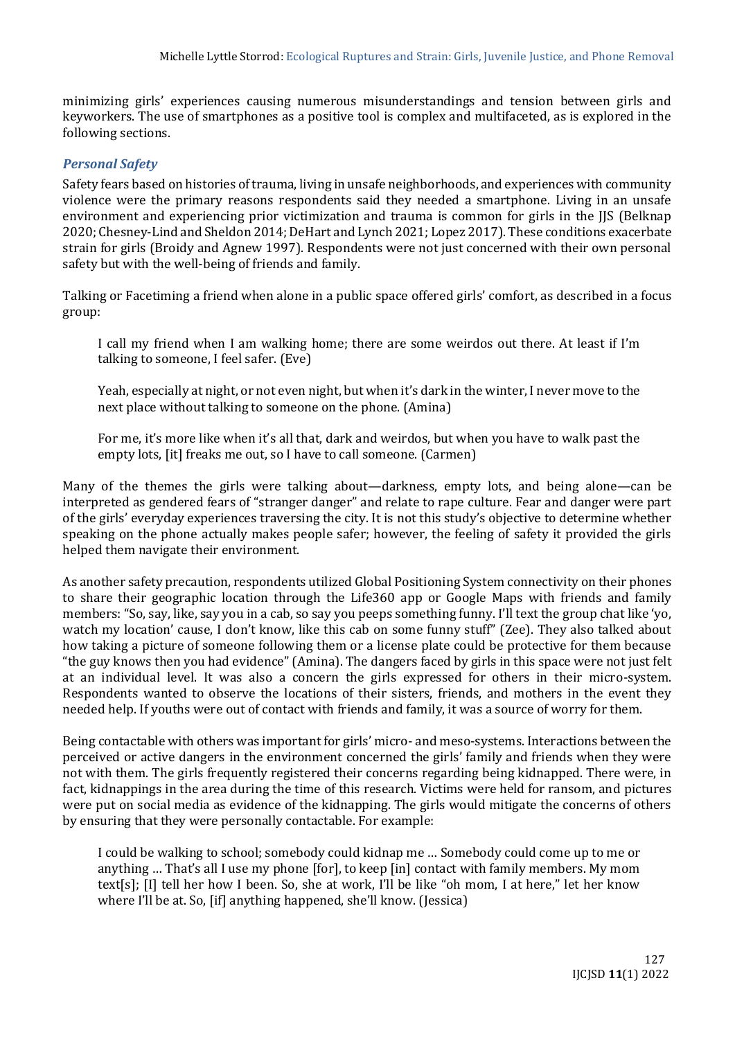minimizing girls' experiences causing numerous misunderstandings and tension between girls and keyworkers. The use of smartphones as a positive tool is complex and multifaceted, as is explored in the following sections.

## *Personal Safety*

Safety fears based on histories of trauma, living in unsafe neighborhoods, and experiences with community violence were the primary reasons respondents said they needed a smartphone. Living in an unsafe environment and experiencing prior victimization and trauma is common for girls in the JJS (Belknap 2020; Chesney-Lind and Sheldon 2014; DeHart and Lynch 2021; Lopez 2017). These conditions exacerbate strain for girls (Broidy and Agnew 1997). Respondents were not just concerned with their own personal safety but with the well-being of friends and family.

Talking or Facetiming a friend when alone in a public space offered girls' comfort, as described in a focus group:

I call my friend when I am walking home; there are some weirdos out there. At least if I'm talking to someone, I feel safer. (Eve)

Yeah, especially at night, or not even night, but when it's dark in the winter, I never move to the next place without talking to someone on the phone. (Amina)

For me, it's more like when it's all that, dark and weirdos, but when you have to walk past the empty lots. [it] freaks me out, so I have to call someone. (Carmen)

Many of the themes the girls were talking about—darkness, empty lots, and being alone—can be interpreted as gendered fears of "stranger danger" and relate to rape culture. Fear and danger were part of the girls' everyday experiences traversing the city. It is not this study's objective to determine whether speaking on the phone actually makes people safer; however, the feeling of safety it provided the girls helped them navigate their environment.

As another safety precaution, respondents utilized Global Positioning System connectivity on their phones to share their geographic location through the Life360 app or Google Maps with friends and family members: "So, say, like, say you in a cab, so say you peeps something funny. I'll text the group chat like 'yo, watch my location' cause, I don't know, like this cab on some funny stuff" (Zee). They also talked about how taking a picture of someone following them or a license plate could be protective for them because "the guy knows then you had evidence" (Amina). The dangers faced by girls in this space were not just felt at an individual level. It was also a concern the girls expressed for others in their micro-system. Respondents wanted to observe the locations of their sisters, friends, and mothers in the event they needed help. If youths were out of contact with friends and family, it was a source of worry for them.

Being contactable with others was important for girls' micro- and meso-systems. Interactions between the perceived or active dangers in the environment concerned the girls' family and friends when they were not with them. The girls frequently registered their concerns regarding being kidnapped. There were, in fact, kidnappings in the area during the time of this research. Victims were held for ransom, and pictures were put on social media as evidence of the kidnapping. The girls would mitigate the concerns of others by ensuring that they were personally contactable. For example:

I could be walking to school; somebody could kidnap me … Somebody could come up to me or anything … That's all I use my phone [for], to keep [in] contact with family members. My mom text[s]; [I] tell her how I been. So, she at work, I'll be like "oh mom, I at here," let her know where I'll be at. So, [if] anything happened, she'll know. (Jessica)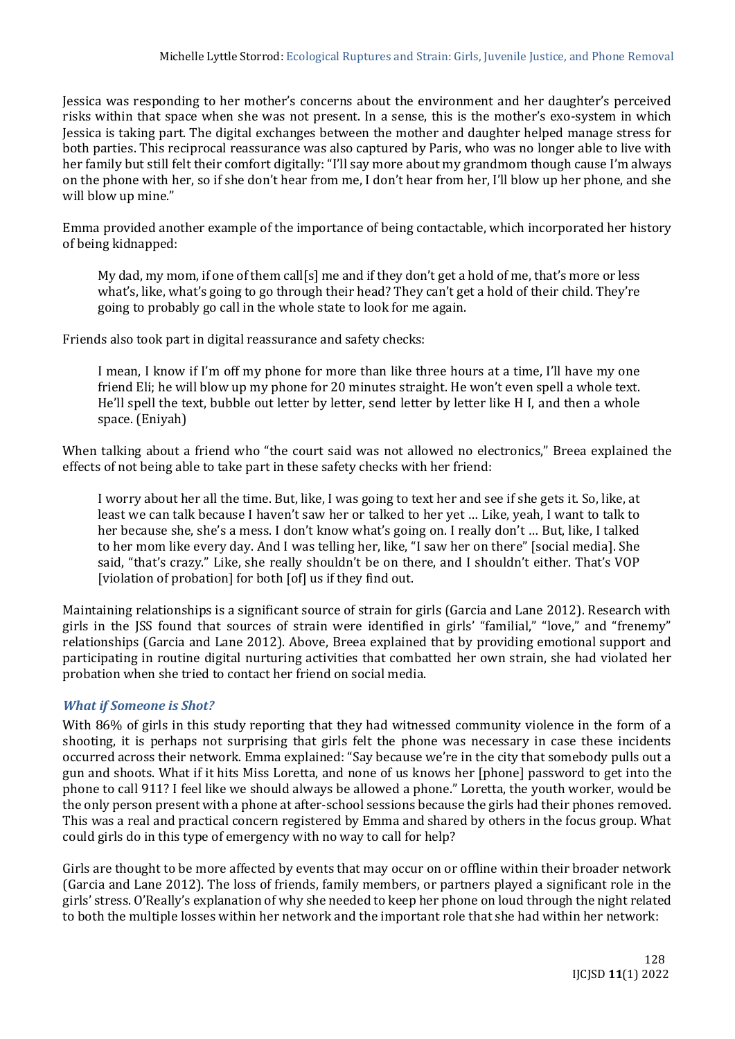Jessica was responding to her mother's concerns about the environment and her daughter's perceived risks within that space when she was not present. In a sense, this is the mother's exo-system in which Jessica is taking part. The digital exchanges between the mother and daughter helped manage stress for both parties. This reciprocal reassurance was also captured by Paris, who was no longer able to live with her family but still felt their comfort digitally: "I'll say more about my grandmom though cause I'm always on the phone with her, so if she don't hear from me, I don't hear from her, I'll blow up her phone, and she will blow up mine."

Emma provided another example of the importance of being contactable, which incorporated her history of being kidnapped:

My dad, my mom, if one of them call[s] me and if they don't get a hold of me, that's more or less what's, like, what's going to go through their head? They can't get a hold of their child. They're going to probably go call in the whole state to look for me again.

Friends also took part in digital reassurance and safety checks:

I mean, I know if I'm off my phone for more than like three hours at a time, I'll have my one friend Eli; he will blow up my phone for 20 minutes straight. He won't even spell a whole text. He'll spell the text, bubble out letter by letter, send letter by letter like H I, and then a whole space. (Eniyah)

When talking about a friend who "the court said was not allowed no electronics," Breea explained the effects of not being able to take part in these safety checks with her friend:

I worry about her all the time. But, like, I was going to text her and see if she gets it. So, like, at least we can talk because I haven't saw her or talked to her yet … Like, yeah, I want to talk to her because she, she's a mess. I don't know what's going on. I really don't … But, like, I talked to her mom like every day. And I was telling her, like, "I saw her on there" [social media]. She said, "that's crazy." Like, she really shouldn't be on there, and I shouldn't either. That's VOP [violation of probation] for both [of] us if they find out.

Maintaining relationships is a significant source of strain for girls (Garcia and Lane 2012). Research with girls in the JSS found that sources of strain were identified in girls' "familial," "love," and "frenemy" relationships (Garcia and Lane 2012). Above, Breea explained that by providing emotional support and participating in routine digital nurturing activities that combatted her own strain, she had violated her probation when she tried to contact her friend on social media.

## *What if Someone is Shot?*

With 86% of girls in this study reporting that they had witnessed community violence in the form of a shooting, it is perhaps not surprising that girls felt the phone was necessary in case these incidents occurred across their network. Emma explained: "Say because we're in the city that somebody pulls out a gun and shoots. What if it hits Miss Loretta, and none of us knows her [phone] password to get into the phone to call 911? I feel like we should always be allowed a phone." Loretta, the youth worker, would be the only person present with a phone at after-school sessions because the girls had their phones removed. This was a real and practical concern registered by Emma and shared by others in the focus group. What could girls do in this type of emergency with no way to call for help?

Girls are thought to be more affected by events that may occur on or offline within their broader network (Garcia and Lane 2012). The loss of friends, family members, or partners played a significant role in the girls' stress. O'Really's explanation of why she needed to keep her phone on loud through the night related to both the multiple losses within her network and the important role that she had within her network: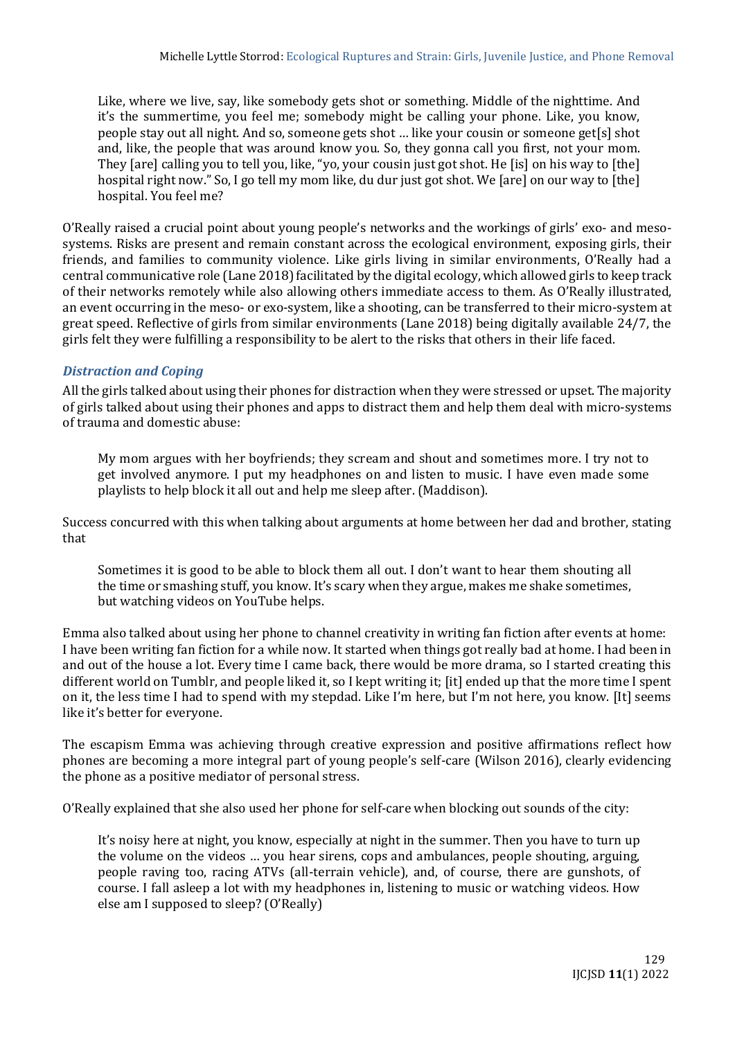Like, where we live, say, like somebody gets shot or something. Middle of the nighttime. And it's the summertime, you feel me; somebody might be calling your phone. Like, you know, people stay out all night. And so, someone gets shot … like your cousin or someone get[s] shot and, like, the people that was around know you. So, they gonna call you first, not your mom. They [are] calling you to tell you, like, "yo, your cousin just got shot. He [is] on his way to [the] hospital right now." So, I go tell my mom like, du dur just got shot. We [are] on our way to [the] hospital. You feel me?

O'Really raised a crucial point about young people's networks and the workings of girls' exo- and mesosystems. Risks are present and remain constant across the ecological environment, exposing girls, their friends, and families to community violence. Like girls living in similar environments, O'Really had a central communicative role (Lane 2018) facilitated by the digital ecology, which allowed girls to keep track of their networks remotely while also allowing others immediate access to them. As O'Really illustrated, an event occurring in the meso- or exo-system, like a shooting, can be transferred to their micro-system at great speed. Reflective of girls from similar environments (Lane 2018) being digitally available 24/7, the girls felt they were fulfilling a responsibility to be alert to the risks that others in their life faced.

# *Distraction and Coping*

All the girls talked about using their phones for distraction when they were stressed or upset. The majority of girls talked about using their phones and apps to distract them and help them deal with micro-systems of trauma and domestic abuse:

My mom argues with her boyfriends; they scream and shout and sometimes more. I try not to get involved anymore. I put my headphones on and listen to music. I have even made some playlists to help block it all out and help me sleep after. (Maddison).

Success concurred with this when talking about arguments at home between her dad and brother, stating that

Sometimes it is good to be able to block them all out. I don't want to hear them shouting all the time or smashing stuff, you know. It's scary when they argue, makes me shake sometimes, but watching videos on YouTube helps.

Emma also talked about using her phone to channel creativity in writing fan fiction after events at home: I have been writing fan fiction for a while now. It started when things got really bad at home. I had been in and out of the house a lot. Every time I came back, there would be more drama, so I started creating this different world on Tumblr, and people liked it, so I kept writing it; [it] ended up that the more time I spent on it, the less time I had to spend with my stepdad. Like I'm here, but I'm not here, you know. [It] seems like it's better for everyone.

The escapism Emma was achieving through creative expression and positive affirmations reflect how phones are becoming a more integral part of young people's self-care (Wilson 2016), clearly evidencing the phone as a positive mediator of personal stress.

O'Really explained that she also used her phone for self-care when blocking out sounds of the city:

It's noisy here at night, you know, especially at night in the summer. Then you have to turn up the volume on the videos … you hear sirens, cops and ambulances, people shouting, arguing, people raving too, racing ATVs (all-terrain vehicle), and, of course, there are gunshots, of course. I fall asleep a lot with my headphones in, listening to music or watching videos. How else am I supposed to sleep? (O'Really)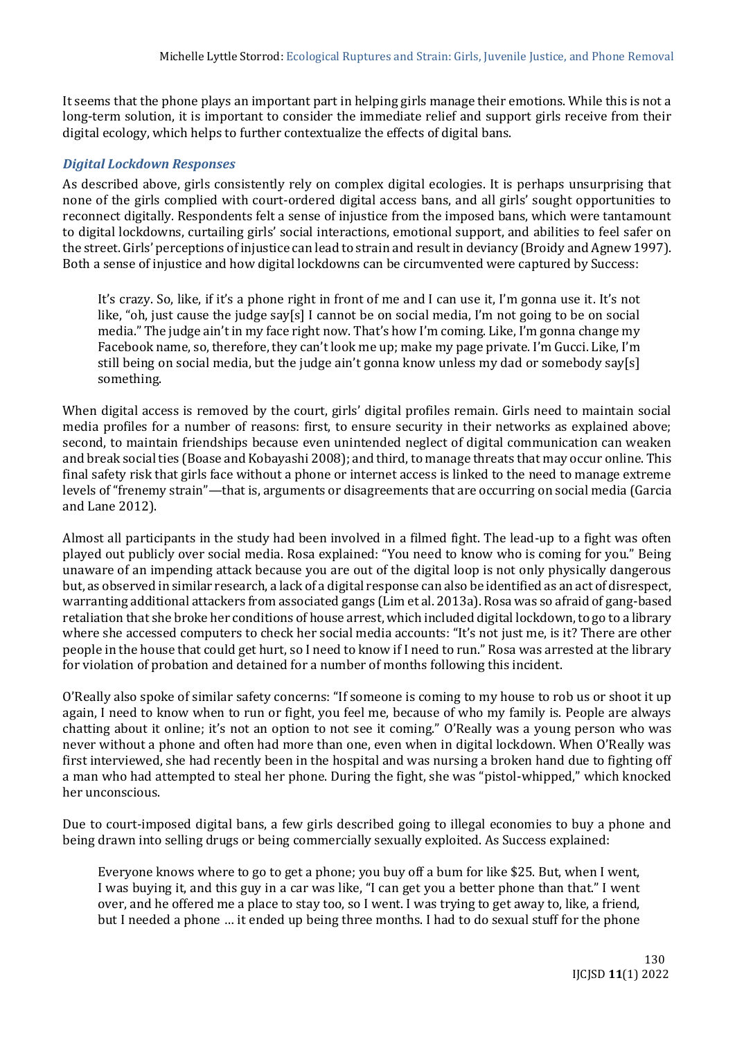It seems that the phone plays an important part in helping girls manage their emotions. While this is not a long-term solution, it is important to consider the immediate relief and support girls receive from their digital ecology, which helps to further contextualize the effects of digital bans.

## *Digital Lockdown Responses*

As described above, girls consistently rely on complex digital ecologies. It is perhaps unsurprising that none of the girls complied with court-ordered digital access bans, and all girls' sought opportunities to reconnect digitally. Respondents felt a sense of injustice from the imposed bans, which were tantamount to digital lockdowns, curtailing girls' social interactions, emotional support, and abilities to feel safer on the street. Girls' perceptions of injustice can lead to strain and result in deviancy (Broidy and Agnew 1997). Both a sense of injustice and how digital lockdowns can be circumvented were captured by Success:

It's crazy. So, like, if it's a phone right in front of me and I can use it, I'm gonna use it. It's not like, "oh, just cause the judge say[s] I cannot be on social media, I'm not going to be on social media." The judge ain't in my face right now. That's how I'm coming. Like, I'm gonna change my Facebook name, so, therefore, they can't look me up; make my page private. I'm Gucci. Like, I'm still being on social media, but the judge ain't gonna know unless my dad or somebody say[s] something.

When digital access is removed by the court, girls' digital profiles remain. Girls need to maintain social media profiles for a number of reasons: first, to ensure security in their networks as explained above; second, to maintain friendships because even unintended neglect of digital communication can weaken and break social ties (Boase and Kobayashi 2008); and third, to manage threats that may occur online. This final safety risk that girls face without a phone or internet access is linked to the need to manage extreme levels of "frenemy strain"—that is, arguments or disagreements that are occurring on social media (Garcia and Lane 2012).

Almost all participants in the study had been involved in a filmed fight. The lead-up to a fight was often played out publicly over social media. Rosa explained: "You need to know who is coming for you." Being unaware of an impending attack because you are out of the digital loop is not only physically dangerous but, as observed in similar research, a lack of a digital response can also be identified as an act of disrespect, warranting additional attackers from associated gangs (Lim et al. 2013a). Rosa was so afraid of gang-based retaliation that she broke her conditions of house arrest, which included digital lockdown, to go to a library where she accessed computers to check her social media accounts: "It's not just me, is it? There are other people in the house that could get hurt, so I need to know if I need to run." Rosa was arrested at the library for violation of probation and detained for a number of months following this incident.

O'Really also spoke of similar safety concerns: "If someone is coming to my house to rob us or shoot it up again, I need to know when to run or fight, you feel me, because of who my family is. People are always chatting about it online; it's not an option to not see it coming." O'Really was a young person who was never without a phone and often had more than one, even when in digital lockdown. When O'Really was first interviewed, she had recently been in the hospital and was nursing a broken hand due to fighting off a man who had attempted to steal her phone. During the fight, she was "pistol-whipped," which knocked her unconscious.

Due to court-imposed digital bans, a few girls described going to illegal economies to buy a phone and being drawn into selling drugs or being commercially sexually exploited. As Success explained:

Everyone knows where to go to get a phone; you buy off a bum for like \$25. But, when I went, I was buying it, and this guy in a car was like, "I can get you a better phone than that." I went over, and he offered me a place to stay too, so I went. I was trying to get away to, like, a friend, but I needed a phone … it ended up being three months. I had to do sexual stuff for the phone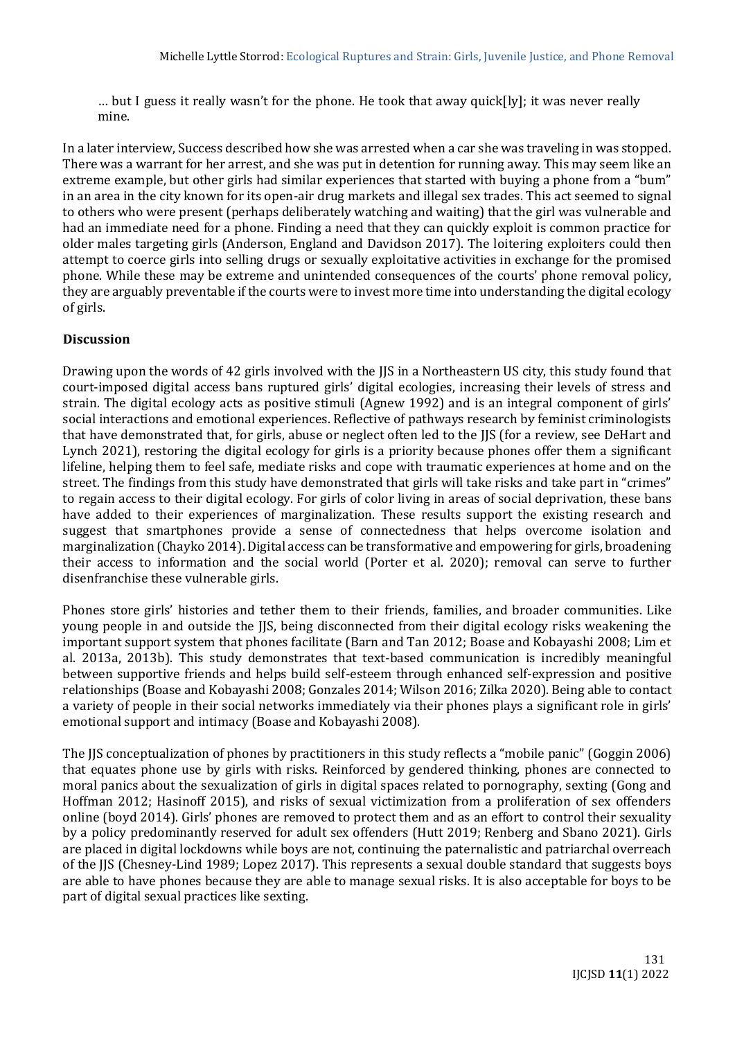… but I guess it really wasn't for the phone. He took that away quick[ly]; it was never really mine.

In a later interview, Success described how she was arrested when a car she was traveling in was stopped. There was a warrant for her arrest, and she was put in detention for running away. This may seem like an extreme example, but other girls had similar experiences that started with buying a phone from a "bum" in an area in the city known for its open-air drug markets and illegal sex trades. This act seemed to signal to others who were present (perhaps deliberately watching and waiting) that the girl was vulnerable and had an immediate need for a phone. Finding a need that they can quickly exploit is common practice for older males targeting girls (Anderson, England and Davidson 2017). The loitering exploiters could then attempt to coerce girls into selling drugs or sexually exploitative activities in exchange for the promised phone. While these may be extreme and unintended consequences of the courts' phone removal policy, they are arguably preventable if the courts were to invest more time into understanding the digital ecology of girls.

## **Discussion**

Drawing upon the words of 42 girls involved with the JJS in a Northeastern US city, this study found that court-imposed digital access bans ruptured girls' digital ecologies, increasing their levels of stress and strain. The digital ecology acts as positive stimuli (Agnew 1992) and is an integral component of girls' social interactions and emotional experiences. Reflective of pathways research by feminist criminologists that have demonstrated that, for girls, abuse or neglect often led to the JJS (for a review, see DeHart and Lynch 2021), restoring the digital ecology for girls is a priority because phones offer them a significant lifeline, helping them to feel safe, mediate risks and cope with traumatic experiences at home and on the street. The findings from this study have demonstrated that girls will take risks and take part in "crimes" to regain access to their digital ecology. For girls of color living in areas of social deprivation, these bans have added to their experiences of marginalization. These results support the existing research and suggest that smartphones provide a sense of connectedness that helps overcome isolation and marginalization (Chayko 2014). Digital access can be transformative and empowering for girls, broadening their access to information and the social world (Porter et al. 2020); removal can serve to further disenfranchise these vulnerable girls.

Phones store girls' histories and tether them to their friends, families, and broader communities. Like young people in and outside the JJS, being disconnected from their digital ecology risks weakening the important support system that phones facilitate (Barn and Tan 2012; Boase and Kobayashi 2008; Lim et al. 2013a, 2013b). This study demonstrates that text-based communication is incredibly meaningful between supportive friends and helps build self-esteem through enhanced self-expression and positive relationships (Boase and Kobayashi 2008; Gonzales 2014; Wilson 2016; Zilka 2020). Being able to contact a variety of people in their social networks immediately via their phones plays a significant role in girls' emotional support and intimacy (Boase and Kobayashi 2008).

The JJS conceptualization of phones by practitioners in this study reflects a "mobile panic" (Goggin 2006) that equates phone use by girls with risks. Reinforced by gendered thinking, phones are connected to moral panics about the sexualization of girls in digital spaces related to pornography, sexting (Gong and Hoffman 2012; Hasinoff 2015), and risks of sexual victimization from a proliferation of sex offenders online (boyd 2014). Girls' phones are removed to protect them and as an effort to control their sexuality by a policy predominantly reserved for adult sex offenders (Hutt 2019; Renberg and Sbano 2021). Girls are placed in digital lockdowns while boys are not, continuing the paternalistic and patriarchal overreach of the JJS (Chesney-Lind 1989; Lopez 2017). This represents a sexual double standard that suggests boys are able to have phones because they are able to manage sexual risks. It is also acceptable for boys to be part of digital sexual practices like sexting.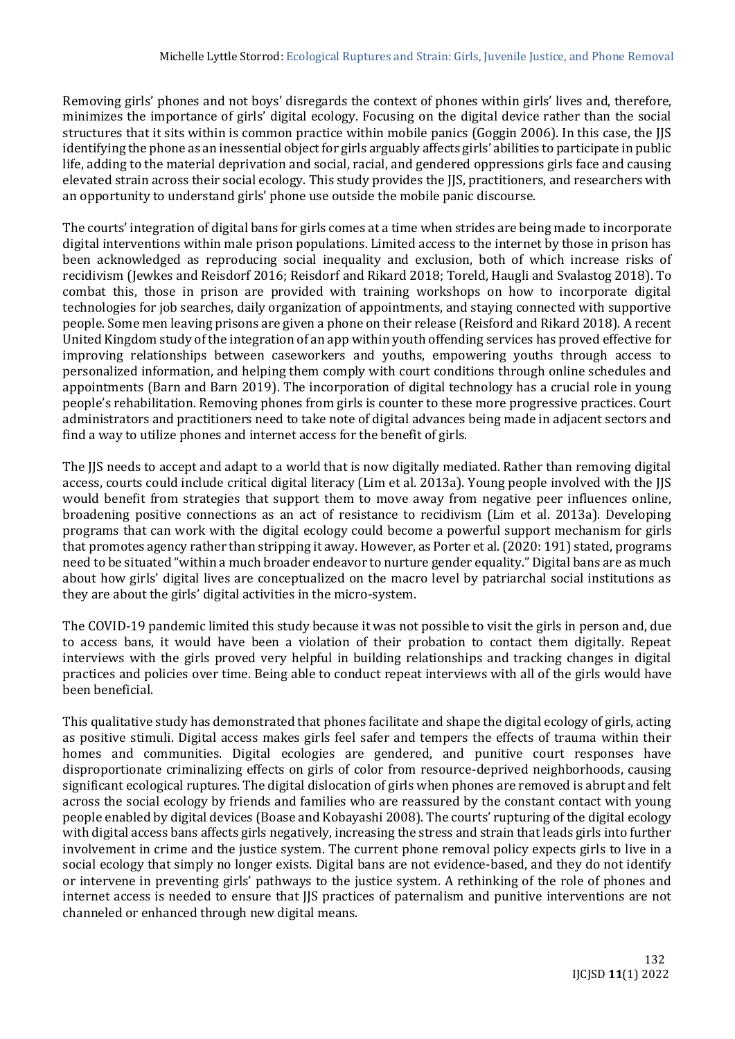Removing girls' phones and not boys' disregards the context of phones within girls' lives and, therefore, minimizes the importance of girls' digital ecology. Focusing on the digital device rather than the social structures that it sits within is common practice within mobile panics (Goggin 2006). In this case, the JJS identifying the phone as an inessential object for girls arguably affects girls' abilities to participate in public life, adding to the material deprivation and social, racial, and gendered oppressions girls face and causing elevated strain across their social ecology. This study provides the JJS, practitioners, and researchers with an opportunity to understand girls' phone use outside the mobile panic discourse.

The courts' integration of digital bans for girls comes at a time when strides are being made to incorporate digital interventions within male prison populations. Limited access to the internet by those in prison has been acknowledged as reproducing social inequality and exclusion, both of which increase risks of recidivism (Jewkes and Reisdorf 2016; Reisdorf and Rikard 2018; Toreld, Haugli and Svalastog 2018). To combat this, those in prison are provided with training workshops on how to incorporate digital technologies for job searches, daily organization of appointments, and staying connected with supportive people. Some men leaving prisons are given a phone on their release (Reisford and Rikard 2018). A recent United Kingdom study of the integration of an app within youth offending services has proved effective for improving relationships between caseworkers and youths, empowering youths through access to personalized information, and helping them comply with court conditions through online schedules and appointments (Barn and Barn 2019). The incorporation of digital technology has a crucial role in young people's rehabilitation. Removing phones from girls is counter to these more progressive practices. Court administrators and practitioners need to take note of digital advances being made in adjacent sectors and find a way to utilize phones and internet access for the benefit of girls.

The JJS needs to accept and adapt to a world that is now digitally mediated. Rather than removing digital access, courts could include critical digital literacy (Lim et al. 2013a). Young people involved with the JJS would benefit from strategies that support them to move away from negative peer influences online, broadening positive connections as an act of resistance to recidivism (Lim et al. 2013a). Developing programs that can work with the digital ecology could become a powerful support mechanism for girls that promotes agency rather than stripping it away. However, as Porter et al. (2020: 191) stated, programs need to be situated "within a much broader endeavor to nurture gender equality." Digital bans are as much about how girls' digital lives are conceptualized on the macro level by patriarchal social institutions as they are about the girls' digital activities in the micro-system.

The COVID-19 pandemic limited this study because it was not possible to visit the girls in person and, due to access bans, it would have been a violation of their probation to contact them digitally. Repeat interviews with the girls proved very helpful in building relationships and tracking changes in digital practices and policies over time. Being able to conduct repeat interviews with all of the girls would have been beneficial.

This qualitative study has demonstrated that phones facilitate and shape the digital ecology of girls, acting as positive stimuli. Digital access makes girls feel safer and tempers the effects of trauma within their homes and communities. Digital ecologies are gendered, and punitive court responses have disproportionate criminalizing effects on girls of color from resource-deprived neighborhoods, causing significant ecological ruptures. The digital dislocation of girls when phones are removed is abrupt and felt across the social ecology by friends and families who are reassured by the constant contact with young people enabled by digital devices (Boase and Kobayashi 2008). The courts' rupturing of the digital ecology with digital access bans affects girls negatively, increasing the stress and strain that leads girls into further involvement in crime and the justice system. The current phone removal policy expects girls to live in a social ecology that simply no longer exists. Digital bans are not evidence-based, and they do not identify or intervene in preventing girls' pathways to the justice system. A rethinking of the role of phones and internet access is needed to ensure that JJS practices of paternalism and punitive interventions are not channeled or enhanced through new digital means.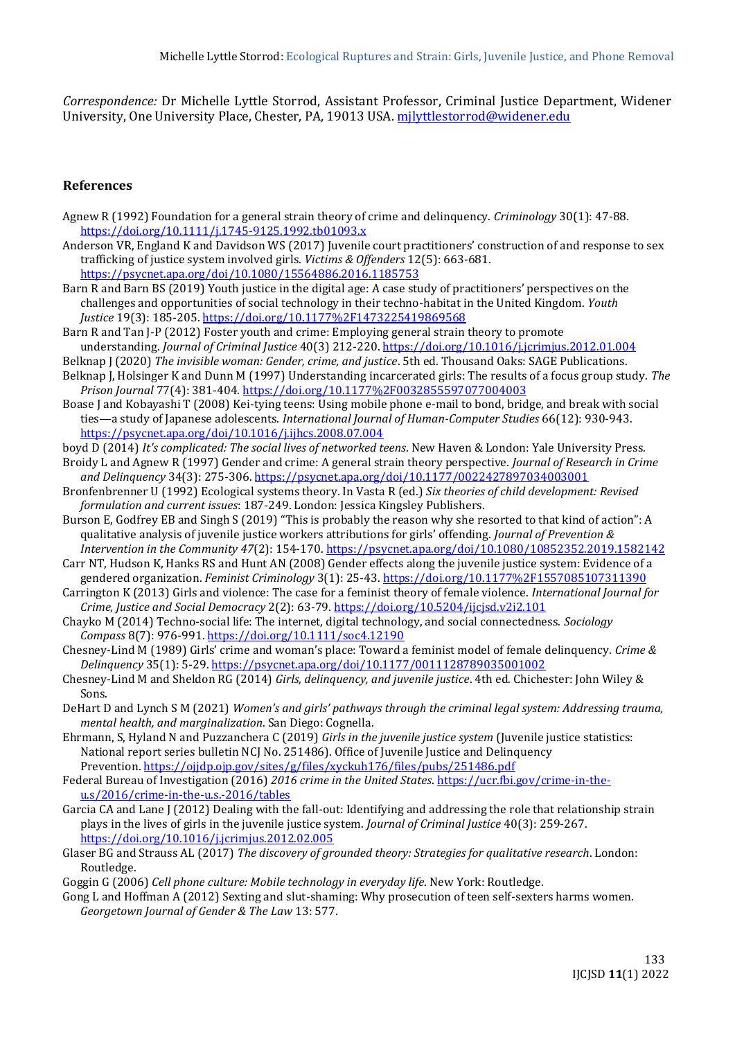*Correspondence:* Dr Michelle Lyttle Storrod, Assistant Professor, Criminal Justice Department, Widener University, One University Place, Chester, PA, 19013 USA. [mjlyttlestorrod@widener.edu](mailto:mjlyttlestorrod@widener.edu)

#### **References**

- Agnew R (1992) Foundation for a general strain theory of crime and delinquency. *Criminology* 30(1): 47-88. <https://doi.org/10.1111/j.1745-9125.1992.tb01093.x>
- Anderson VR, England K and Davidson WS (2017) Juvenile court practitioners' construction of and response to sex trafficking of justice system involved girls. *Victims & Offenders* 12(5): 663-681. <https://psycnet.apa.org/doi/10.1080/15564886.2016.1185753>
- Barn R and Barn BS (2019) Youth justice in the digital age: A case study of practitioners' perspectives on the challenges and opportunities of social technology in their techno-habitat in the United Kingdom. *Youth Justice* 19(3): 185-205[. https://doi.org/10.1177%2F1473225419869568](https://doi.org/10.1177%2F1473225419869568)
- Barn R and Tan J-P (2012) Foster youth and crime: Employing general strain theory to promote understanding. *Journal of Criminal Justice* 40(3) 212-220.<https://doi.org/10.1016/j.jcrimjus.2012.01.004>
- Belknap J (2020) *The invisible woman: Gender, crime, and justice*. 5th ed. Thousand Oaks: SAGE Publications. Belknap J, Holsinger K and Dunn M (1997) Understanding incarcerated girls: The results of a focus group study. *The*
- *Prison Journal* 77(4): 381-404.<https://doi.org/10.1177%2F0032855597077004003> Boase J and Kobayashi T (2008) Kei-tying teens: Using mobile phone e-mail to bond, bridge, and break with social ties—a study of Japanese adolescents. *International Journal of Human-Computer Studies* 66(12): 930-943. <https://psycnet.apa.org/doi/10.1016/j.ijhcs.2008.07.004>
- boyd D (2014) *It's complicated: The social lives of networked teens*. New Haven & London: Yale University Press.
- Broidy L and Agnew R (1997) Gender and crime: A general strain theory perspective. *Journal of Research in Crime and Delinquency* 34(3): 275-306[. https://psycnet.apa.org/doi/10.1177/0022427897034003001](https://psycnet.apa.org/doi/10.1177/0022427897034003001)
- Bronfenbrenner U (1992) Ecological systems theory. In Vasta R (ed.) *Six theories of child development: Revised formulation and current issues*: 187-249. London: Jessica Kingsley Publishers.
- Burson E, Godfrey EB and Singh S (2019) "This is probably the reason why she resorted to that kind of action": A qualitative analysis of juvenile justice workers attributions for girls' offending. *Journal of Prevention & Intervention in the Community 47*(2): 154-170[. https://psycnet.apa.org/doi/10.1080/10852352.2019.1582142](https://psycnet.apa.org/doi/10.1080/10852352.2019.1582142)
- Carr NT, Hudson K, Hanks RS and Hunt AN (2008) Gender effects along the juvenile justice system: Evidence of a gendered organization. *Feminist Criminology* 3(1): 25-43[. https://doi.org/10.1177%2F1557085107311390](https://doi.org/10.1177%2F1557085107311390)
- Carrington K (2013) Girls and violence: The case for a feminist theory of female violence. *International Journal for Crime, Justice and Social Democracy* 2(2): 63-79.<https://doi.org/10.5204/ijcjsd.v2i2.101>
- Chayko M (2014) Techno‐social life: The internet, digital technology, and social connectedness. *Sociology Compass* 8(7): 976-991.<https://doi.org/10.1111/soc4.12190>
- Chesney-Lind M (1989) Girls' crime and woman's place: Toward a feminist model of female delinquency. *Crime & Delinquency* 35(1): 5-29.<https://psycnet.apa.org/doi/10.1177/0011128789035001002>
- Chesney-Lind M and Sheldon RG (2014) *Girls, delinquency, and juvenile justice*. 4th ed. Chichester: John Wiley & Sons.
- DeHart D and Lynch S M (2021) *Women's and girls' pathways through the criminal legal system: Addressing trauma, mental health, and marginalization*. San Diego: Cognella.
- Ehrmann, S, Hyland N and Puzzanchera C (2019) *Girls in the juvenile justice system* (Juvenile justice statistics: National report series bulletin NCJ No. 251486). Office of Juvenile Justice and Delinquency Prevention. <https://ojjdp.ojp.gov/sites/g/files/xyckuh176/files/pubs/251486.pdf>
- Federal Bureau of Investigation (2016) *2016 crime in the United States*[. https://ucr.fbi.gov/crime-in-the](https://ucr.fbi.gov/crime-in-the-u.s/2016/crime-in-the-u.s.-2016/tables)[u.s/2016/crime-in-the-u.s.-2016/tables](https://ucr.fbi.gov/crime-in-the-u.s/2016/crime-in-the-u.s.-2016/tables)
- Garcia CA and Lane J (2012) Dealing with the fall-out: Identifying and addressing the role that relationship strain plays in the lives of girls in the juvenile justice system. *Journal of Criminal Justice* 40(3): 259-267. <https://doi.org/10.1016/j.jcrimjus.2012.02.005>
- Glaser BG and Strauss AL (2017) *The discovery of grounded theory: Strategies for qualitative research*. London: Routledge.
- Goggin G (2006) *Cell phone culture: Mobile technology in everyday life*. New York: Routledge.
- Gong L and Hoffman A (2012) Sexting and slut-shaming: Why prosecution of teen self-sexters harms women. *Georgetown Journal of Gender & The Law* 13: 577.